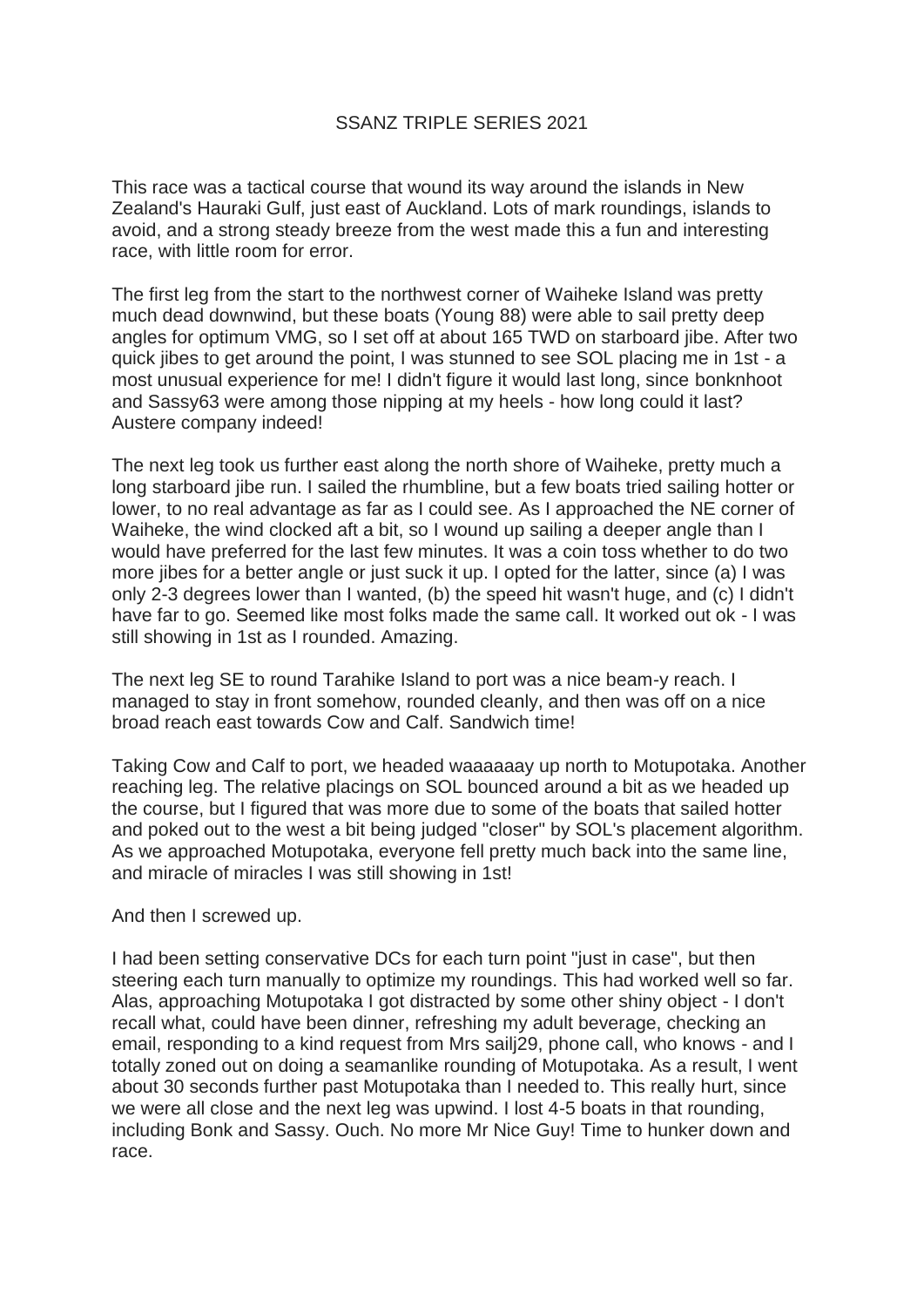## SSANZ TRIPLE SERIES 2021

This race was a tactical course that wound its way around the islands in New Zealand's Hauraki Gulf, just east of Auckland. Lots of mark roundings, islands to avoid, and a strong steady breeze from the west made this a fun and interesting race, with little room for error.

The first leg from the start to the northwest corner of Waiheke Island was pretty much dead downwind, but these boats (Young 88) were able to sail pretty deep angles for optimum VMG, so I set off at about 165 TWD on starboard jibe. After two quick jibes to get around the point, I was stunned to see SOL placing me in 1st - a most unusual experience for me! I didn't figure it would last long, since bonknhoot and Sassy63 were among those nipping at my heels - how long could it last? Austere company indeed!

The next leg took us further east along the north shore of Waiheke, pretty much a long starboard jibe run. I sailed the rhumbline, but a few boats tried sailing hotter or lower, to no real advantage as far as I could see. As I approached the NE corner of Waiheke, the wind clocked aft a bit, so I wound up sailing a deeper angle than I would have preferred for the last few minutes. It was a coin toss whether to do two more jibes for a better angle or just suck it up. I opted for the latter, since (a) I was only 2-3 degrees lower than I wanted, (b) the speed hit wasn't huge, and (c) I didn't have far to go. Seemed like most folks made the same call. It worked out ok - I was still showing in 1st as I rounded. Amazing.

The next leg SE to round Tarahike Island to port was a nice beam-y reach. I managed to stay in front somehow, rounded cleanly, and then was off on a nice broad reach east towards Cow and Calf. Sandwich time!

Taking Cow and Calf to port, we headed waaaaaay up north to Motupotaka. Another reaching leg. The relative placings on SOL bounced around a bit as we headed up the course, but I figured that was more due to some of the boats that sailed hotter and poked out to the west a bit being judged "closer" by SOL's placement algorithm. As we approached Motupotaka, everyone fell pretty much back into the same line, and miracle of miracles I was still showing in 1st!

And then I screwed up.

I had been setting conservative DCs for each turn point "just in case", but then steering each turn manually to optimize my roundings. This had worked well so far. Alas, approaching Motupotaka I got distracted by some other shiny object - I don't recall what, could have been dinner, refreshing my adult beverage, checking an email, responding to a kind request from Mrs sailj29, phone call, who knows - and I totally zoned out on doing a seamanlike rounding of Motupotaka. As a result, I went about 30 seconds further past Motupotaka than I needed to. This really hurt, since we were all close and the next leg was upwind. I lost 4-5 boats in that rounding, including Bonk and Sassy. Ouch. No more Mr Nice Guy! Time to hunker down and race.